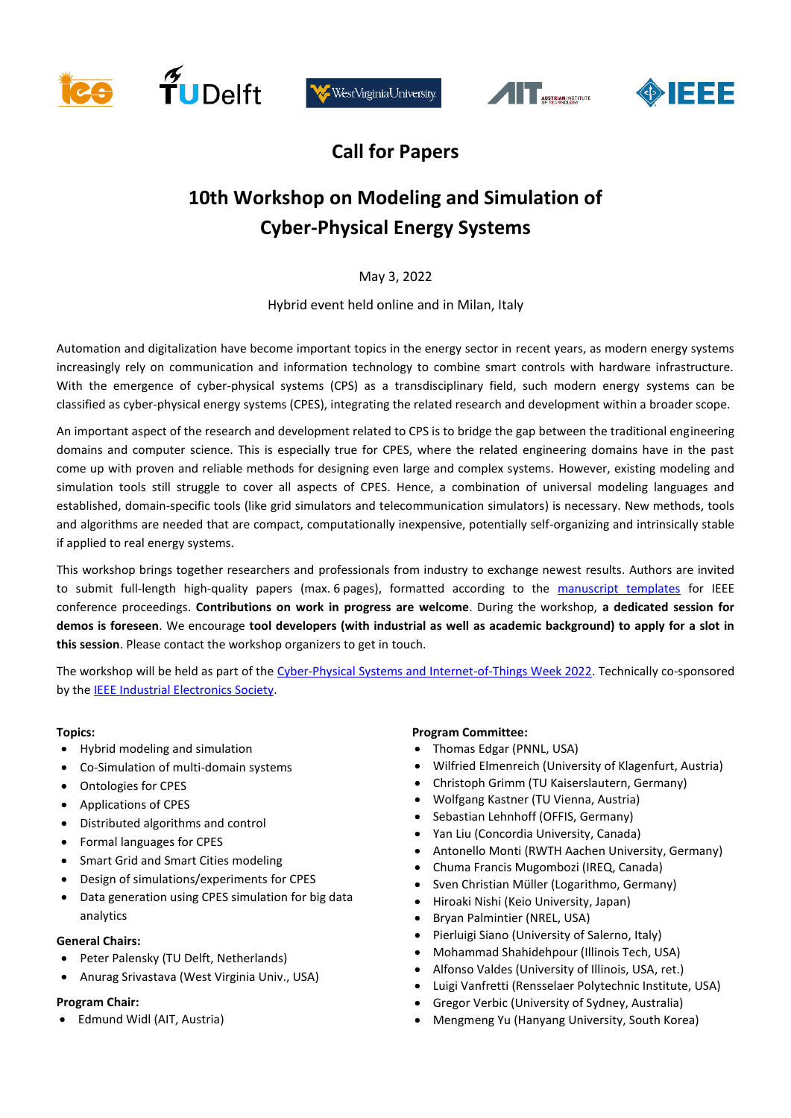







## **Call for Papers**

# **10th Workshop on Modeling and Simulation of Cyber-Physical Energy Systems**

May 3, 2022

Hybrid event held online and in Milan, Italy

Automation and digitalization have become important topics in the energy sector in recent years, as modern energy systems increasingly rely on communication and information technology to combine smart controls with hardware infrastructure. With the emergence of cyber-physical systems (CPS) as a transdisciplinary field, such modern energy systems can be classified as cyber-physical energy systems (CPES), integrating the related research and development within a broader scope.

An important aspect of the research and development related to CPS is to bridge the gap between the traditional engineering domains and computer science. This is especially true for CPES, where the related engineering domains have in the past come up with proven and reliable methods for designing even large and complex systems. However, existing modeling and simulation tools still struggle to cover all aspects of CPES. Hence, a combination of universal modeling languages and established, domain-specific tools (like grid simulators and telecommunication simulators) is necessary. New methods, tools and algorithms are needed that are compact, computationally inexpensive, potentially self-organizing and intrinsically stable if applied to real energy systems.

This workshop brings together researchers and professionals from industry to exchange newest results. Authors are invited to submit full-length high-quality papers (max. 6 pages), formatted according to the [manuscript templates](https://www.ieee.org/conferences/publishing/templates.html) for IEEE conference proceedings. **Contributions on work in progress are welcome**. During the workshop, **a dedicated session for demos is foreseen**. We encourage **tool developers (with industrial as well as academic background) to apply for a slot in this session**. Please contact the workshop organizers to get in touch.

The workshop will be held as part of th[e Cyber-Physical Systems and Internet-of-Things Week 2022.](https://cpsiotweek.neslab.it/index.php) Technically co-sponsored by th[e IEEE Industrial Electronics Society.](http://www.ieee-ies.org/)

## **Topics:**

- Hybrid modeling and simulation
- Co-Simulation of multi-domain systems
- Ontologies for CPES
- Applications of CPES
- Distributed algorithms and control
- Formal languages for CPES
- Smart Grid and Smart Cities modeling
- Design of simulations/experiments for CPES
- Data generation using CPES simulation for big data analytics

## **General Chairs:**

- Peter Palensky (TU Delft, Netherlands)
- Anurag Srivastava (West Virginia Univ., USA)

#### **Program Chair:**

• Edmund Widl (AIT, Austria)

## **Program Committee:**

- Thomas Edgar (PNNL, USA)
- Wilfried Elmenreich (University of Klagenfurt, Austria)
- Christoph Grimm (TU Kaiserslautern, Germany)
- Wolfgang Kastner (TU Vienna, Austria)
- Sebastian Lehnhoff (OFFIS, Germany)
- Yan Liu (Concordia University, Canada)
- Antonello Monti (RWTH Aachen University, Germany)
- Chuma Francis Mugombozi (IREQ, Canada)
- Sven Christian Müller (Logarithmo, Germany)
- Hiroaki Nishi (Keio University, Japan)
- Bryan Palmintier (NREL, USA)
- Pierluigi Siano (University of Salerno, Italy)
- Mohammad Shahidehpour (Illinois Tech, USA)
- Alfonso Valdes (University of Illinois, USA, ret.)
- Luigi Vanfretti (Rensselaer Polytechnic Institute, USA)
- Gregor Verbic (University of Sydney, Australia)
- Mengmeng Yu (Hanyang University, South Korea)